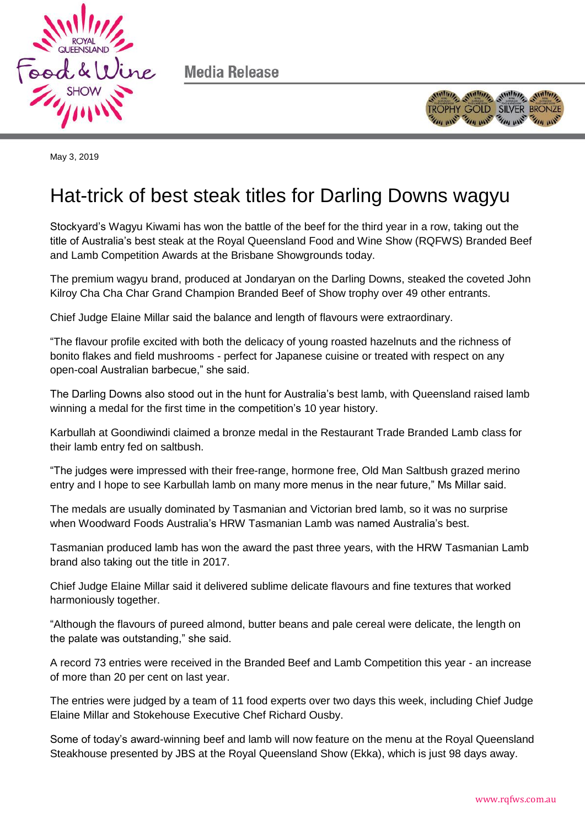

Media Release



May 3, 2019

# Hat-trick of best steak titles for Darling Downs wagyu

Stockyard's Wagyu Kiwami has won the battle of the beef for the third year in a row, taking out the title of Australia's best steak at the Royal Queensland Food and Wine Show (RQFWS) Branded Beef and Lamb Competition Awards at the Brisbane Showgrounds today.

The premium wagyu brand, produced at Jondaryan on the Darling Downs, steaked the coveted John Kilroy Cha Cha Char Grand Champion Branded Beef of Show trophy over 49 other entrants.

Chief Judge Elaine Millar said the balance and length of flavours were extraordinary.

"The flavour profile excited with both the delicacy of young roasted hazelnuts and the richness of bonito flakes and field mushrooms - perfect for Japanese cuisine or treated with respect on any open-coal Australian barbecue," she said.

The Darling Downs also stood out in the hunt for Australia's best lamb, with Queensland raised lamb winning a medal for the first time in the competition's 10 year history.

Karbullah at Goondiwindi claimed a bronze medal in the Restaurant Trade Branded Lamb class for their lamb entry fed on saltbush.

"The judges were impressed with their free-range, hormone free, Old Man Saltbush grazed merino entry and I hope to see Karbullah lamb on many more menus in the near future," Ms Millar said.

The medals are usually dominated by Tasmanian and Victorian bred lamb, so it was no surprise when Woodward Foods Australia's HRW Tasmanian Lamb was named Australia's best.

Tasmanian produced lamb has won the award the past three years, with the HRW Tasmanian Lamb brand also taking out the title in 2017.

Chief Judge Elaine Millar said it delivered sublime delicate flavours and fine textures that worked harmoniously together.

"Although the flavours of pureed almond, butter beans and pale cereal were delicate, the length on the palate was outstanding," she said.

A record 73 entries were received in the Branded Beef and Lamb Competition this year - an increase of more than 20 per cent on last year.

The entries were judged by a team of 11 food experts over two days this week, including Chief Judge Elaine Millar and Stokehouse Executive Chef Richard Ousby.

Some of today's award-winning beef and lamb will now feature on the menu at the Royal Queensland Steakhouse presented by JBS at the Royal Queensland Show (Ekka), which is just 98 days away.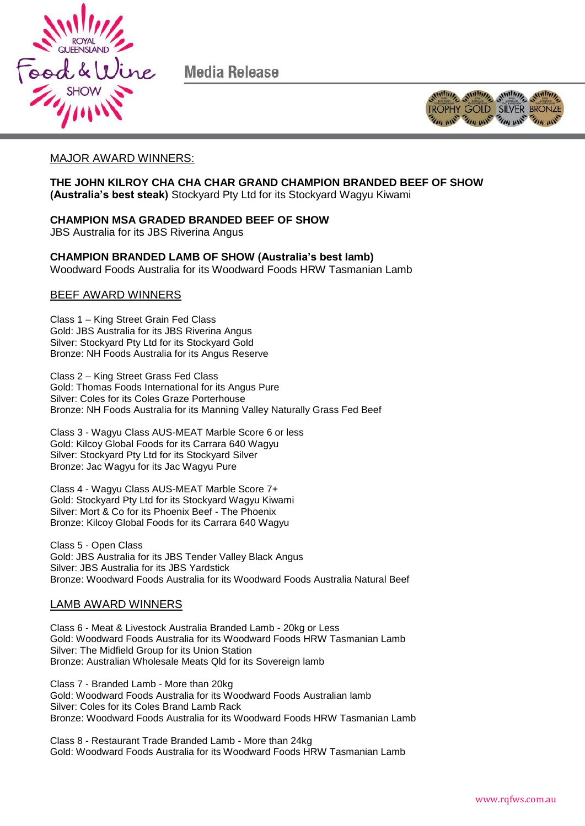

Media Release



## MAJOR AWARD WINNERS:

**THE JOHN KILROY CHA CHA CHAR GRAND CHAMPION BRANDED BEEF OF SHOW (Australia's best steak)** Stockyard Pty Ltd for its Stockyard Wagyu Kiwami

### **CHAMPION MSA GRADED BRANDED BEEF OF SHOW**

JBS Australia for its JBS Riverina Angus

**CHAMPION BRANDED LAMB OF SHOW (Australia's best lamb)** Woodward Foods Australia for its Woodward Foods HRW Tasmanian Lamb

### BEEF AWARD WINNERS

Class 1 – King Street Grain Fed Class Gold: JBS Australia for its JBS Riverina Angus Silver: Stockyard Pty Ltd for its Stockyard Gold Bronze: NH Foods Australia for its Angus Reserve

Class 2 – King Street Grass Fed Class Gold: Thomas Foods International for its Angus Pure Silver: Coles for its Coles Graze Porterhouse Bronze: NH Foods Australia for its Manning Valley Naturally Grass Fed Beef

Class 3 - Wagyu Class AUS-MEAT Marble Score 6 or less Gold: Kilcoy Global Foods for its Carrara 640 Wagyu Silver: Stockyard Pty Ltd for its Stockyard Silver Bronze: Jac Wagyu for its Jac Wagyu Pure

Class 4 - Wagyu Class AUS-MEAT Marble Score 7+ Gold: Stockyard Pty Ltd for its Stockyard Wagyu Kiwami Silver: Mort & Co for its Phoenix Beef - The Phoenix Bronze: Kilcoy Global Foods for its Carrara 640 Wagyu

Class 5 - Open Class Gold: JBS Australia for its JBS Tender Valley Black Angus Silver: JBS Australia for its JBS Yardstick Bronze: Woodward Foods Australia for its Woodward Foods Australia Natural Beef

#### LAMB AWARD WINNERS

Class 6 - Meat & Livestock Australia Branded Lamb - 20kg or Less Gold: Woodward Foods Australia for its Woodward Foods HRW Tasmanian Lamb Silver: The Midfield Group for its Union Station Bronze: Australian Wholesale Meats Qld for its Sovereign lamb

Class 7 - Branded Lamb - More than 20kg Gold: Woodward Foods Australia for its Woodward Foods Australian lamb Silver: Coles for its Coles Brand Lamb Rack Bronze: Woodward Foods Australia for its Woodward Foods HRW Tasmanian Lamb

Class 8 - Restaurant Trade Branded Lamb - More than 24kg Gold: Woodward Foods Australia for its Woodward Foods HRW Tasmanian Lamb